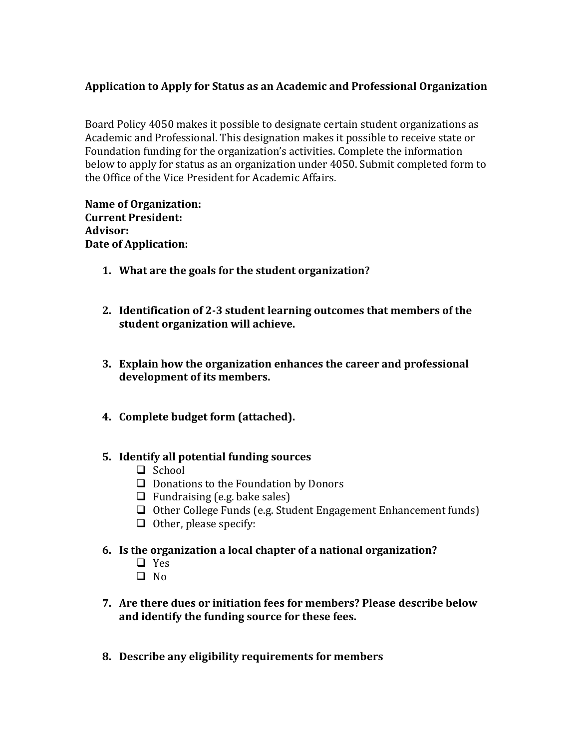## **Application to Apply for Status as an Academic and Professional Organization**

Board Policy 4050 makes it possible to designate certain student organizations as Academic and Professional. This designation makes it possible to receive state or Foundation funding for the organization's activities. Complete the information below to apply for status as an organization under 4050. Submit completed form to the Office of the Vice President for Academic Affairs.

**Name of Organization: Current President: Advisor: Date of Application:**

- **1. What are the goals for the student organization?**
- **2. Identification of 2-3 student learning outcomes that members of the student organization will achieve.**
- **3. Explain how the organization enhances the career and professional development of its members.**
- **4. Complete budget form (attached).**

## **5. Identify all potential funding sources**

- $\Box$  School
- $\Box$  Donations to the Foundation by Donors
- $\Box$  Fundraising (e.g. bake sales)
- $\Box$  Other College Funds (e.g. Student Engagement Enhancement funds)
- $\Box$  Other, please specify:
- **6. Is the organization a local chapter of a national organization?**
	- $\Box$  Yes
	- $\Box$  No
- **7. Are there dues or initiation fees for members? Please describe below and identify the funding source for these fees.**
- **8. Describe any eligibility requirements for members**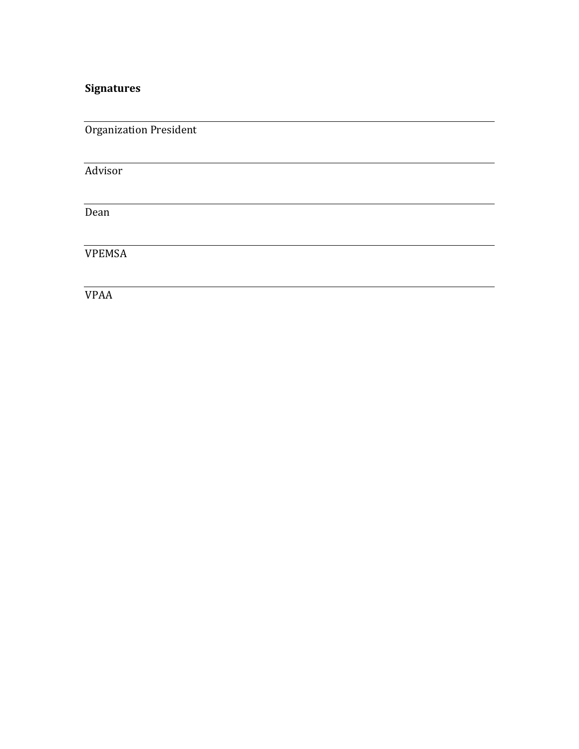## **Signatures**

Organization President

Advisor

Dean

VPEMSA

VPAA